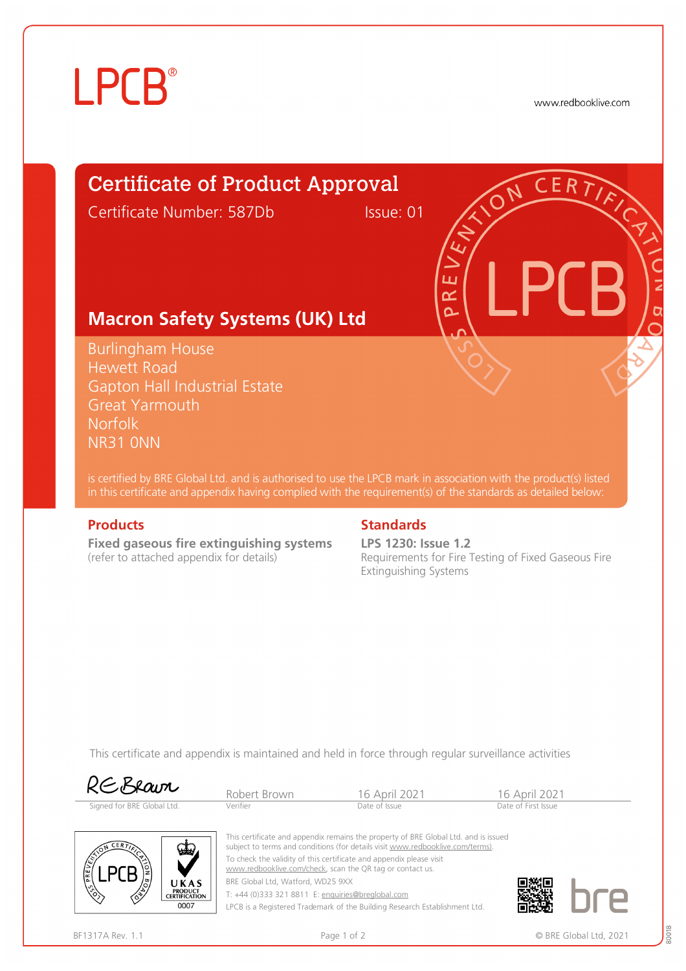# **LPCB**®

www.redbooklive.com

# Certificate of Product Approval

Certificate Number: 587Db Issue: 01

ய œ  $\overline{\Omega}$ 

## **Macron Safety Systems (UK) Ltd**

Burlingham House Hewett Road Gapton Hall Industrial Estate Great Yarmouth Norfolk NR31 0NN

is certified by BRE Global Ltd. and is authorised to use the LPCB mark in association with the product(s) listed in this certificate and appendix having complied with the requirement(s) of the standards as detailed below:

**Fixed gaseous fire extinguishing systems**  (refer to attached appendix for details)

### **Products** Standards **Standards**

**LPS 1230: Issue 1.2** Requirements for Fire Testing of Fixed Gaseous Fire Extinguishing Systems

This certificate and appendix is maintained and held in force through regular surveillance activities

| REBrawn                    | Robert Brown | 16 April 2021                                                                       | 16 April 2021       |  |
|----------------------------|--------------|-------------------------------------------------------------------------------------|---------------------|--|
| Signed for BRE Global Ltd. | Verifier     | Date of Issue                                                                       | Date of First Issue |  |
|                            |              | This certificate and appendix remains the property of BRE Global Ltd. and is issued |                     |  |



subject to terms and conditions (for details visit [www.redbooklive.com/terms\)](http://www.redbooklive.com/terms)). To check the validity of this certificate and appendix please visit [www.redbooklive.com/check,](http://www.redbooklive.com/check) scan the QR tag or contact us. BRE Global Ltd, Watford, WD25 9XX T: +44 (0)333 321 8811 E: [enquiries@breglobal.com](mailto:enquiries@breglobal.com)

LPCB is a Registered Trademark of the Building Research Establishment Ltd.